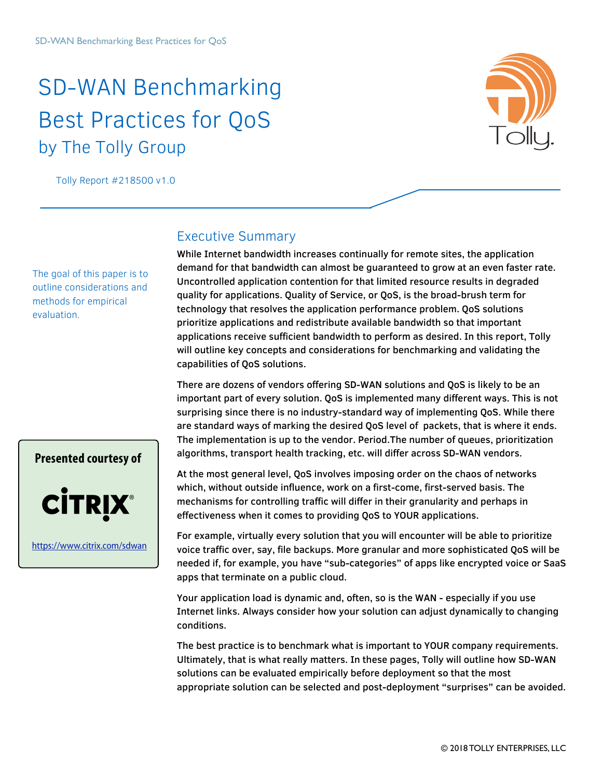# SD-WAN Benchmarking Best Practices for QoS by The Tolly Group



Tolly Report #218500 v1.0

The goal of this paper is to outline considerations and methods for empirical evaluation.

### Executive Summary

While Internet bandwidth increases continually for remote sites, the application demand for that bandwidth can almost be guaranteed to grow at an even faster rate. Uncontrolled application contention for that limited resource results in degraded quality for applications. Quality of Service, or QoS, is the broad-brush term for technology that resolves the application performance problem. QoS solutions prioritize applications and redistribute available bandwidth so that important applications receive sufficient bandwidth to perform as desired. In this report, Tolly will outline key concepts and considerations for benchmarking and validating the capabilities of QoS solutions.

There are dozens of vendors offering SD-WAN solutions and QoS is likely to be an important part of every solution. QoS is implemented many different ways. This is not surprising since there is no industry-standard way of implementing QoS. While there are standard ways of marking the desired QoS level of packets, that is where it ends. The implementation is up to the vendor. Period.The number of queues, prioritization algorithms, transport health tracking, etc. will differ across SD-WAN vendors.

At the most general level, QoS involves imposing order on the chaos of networks which, without outside influence, work on a first-come, first-served basis. The mechanisms for controlling traffic will differ in their granularity and perhaps in effectiveness when it comes to providing QoS to YOUR applications.

For example, virtually every solution that you will encounter will be able to prioritize voice traffic over, say, file backups. More granular and more sophisticated QoS will be needed if, for example, you have "sub-categories" of apps like encrypted voice or SaaS apps that terminate on a public cloud.

Your application load is dynamic and, often, so is the WAN - especially if you use Internet links. Always consider how your solution can adjust dynamically to changing conditions.

The best practice is to benchmark what is important to YOUR company requirements. Ultimately, that is what really matters. In these pages, Tolly will outline how SD-WAN solutions can be evaluated empirically before deployment so that the most appropriate solution can be selected and post-deployment "surprises" can be avoided.

# **Presented courtesy of CITRIX®**

<https://www.citrix.com/sdwan>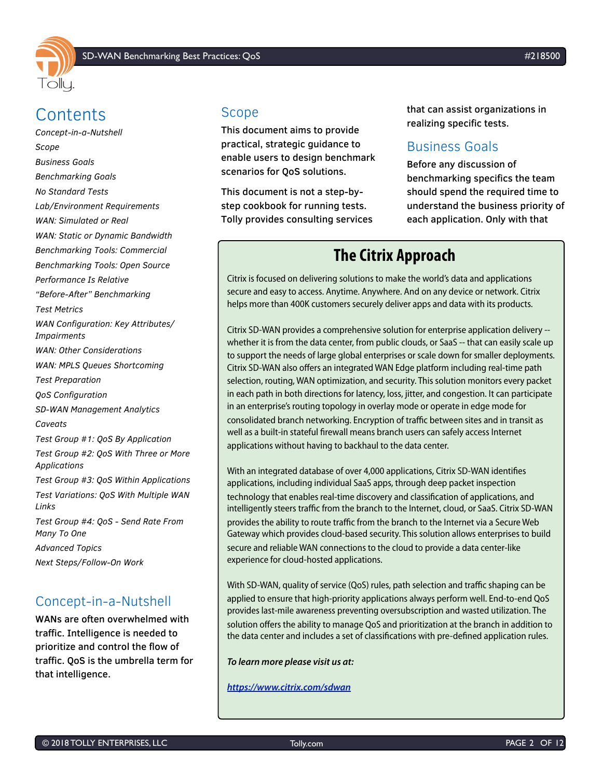

# **Contents**

*[Concept-in-a-Nutshell](#page-1-0) [Scope](#page-1-1) [Business Goals](#page-1-2) [Benchmarking Goals](#page-2-0) [No Standard Tests](#page-2-1) [Lab/Environment Requirements](#page-2-2) [WAN: Simulated or Real](#page-2-3) [WAN: Static or Dynamic Bandwidth](#page-2-4) [Benchmarking Tools: Commercial](#page-3-0) [Benchmarking Tools: Open Source](#page-3-1) [Performance Is Relative](#page-3-2) ["Before-After" Benchmarking](#page-3-3) [Test Metrics](#page-4-0) [WAN Configuration: Key Attributes/](#page-5-0) [Impairments](#page-5-0) [WAN: Other Considerations](#page-7-0) [WAN: MPLS Queues Shortcoming](#page-7-1) [Test Preparation](#page-7-2) [QoS Configuration](#page-7-3) [SD-WAN Management Analytics](#page-7-4) [Caveats](#page-8-0) [Test Group #1: QoS By Application](#page-8-1) [Test Group #2: QoS With Three or More](#page-8-2)  [Applications](#page-8-2) [Test Group #3: QoS Within Applications](#page-9-0) [Test Variations: QoS With Multiple WAN](#page-9-1)  [Links](#page-9-1) [Test Group #4: QoS - Send Rate From](#page-10-0)  [Many To One](#page-10-0) [Advanced Topics](#page-10-1) [Next Steps/Follow-On Work](#page-10-2)*

## <span id="page-1-0"></span>Concept-in-a-Nutshell

WANs are often overwhelmed with traffic. Intelligence is needed to prioritize and control the flow of traffic. QoS is the umbrella term for that intelligence.

### <span id="page-1-1"></span>Scope

This document aims to provide practical, strategic guidance to enable users to design benchmark scenarios for QoS solutions.

This document is not a step-bystep cookbook for running tests. Tolly provides consulting services that can assist organizations in realizing specific tests.

### <span id="page-1-2"></span>Business Goals

Before any discussion of benchmarking specifics the team should spend the required time to understand the business priority of each application. Only with that

# **The Citrix Approach**

Citrix is focused on delivering solutions to make the world's data and applications secure and easy to access. Anytime. Anywhere. And on any device or network. Citrix helps more than 400K customers securely deliver apps and data with its products.

Citrix SD-WAN provides a comprehensive solution for enterprise application delivery - whether it is from the data center, from public clouds, or SaaS -- that can easily scale up to support the needs of large global enterprises or scale down for smaller deployments. Citrix SD-WAN also offers an integrated WAN Edge platform including real-time path selection, routing, WAN optimization, and security. This solution monitors every packet in each path in both directions for latency, loss, jitter, and congestion. It can participate in an enterprise's routing topology in overlay mode or operate in edge mode for consolidated branch networking. Encryption of traffic between sites and in transit as well as a built-in stateful firewall means branch users can safely access Internet applications without having to backhaul to the data center.

With an integrated database of over 4,000 applications, Citrix SD-WAN identifies applications, including individual SaaS apps, through deep packet inspection technology that enables real-time discovery and classification of applications, and intelligently steers traffic from the branch to the Internet, cloud, or SaaS. Citrix SD-WAN provides the ability to route traffic from the branch to the Internet via a Secure Web Gateway which provides cloud-based security. This solution allows enterprises to build secure and reliable WAN connections to the cloud to provide a data center-like experience for cloud-hosted applications.

With SD-WAN, quality of service (QoS) rules, path selection and traffic shaping can be applied to ensure that high-priority applications always perform well. End-to-end QoS provides last-mile awareness preventing oversubscription and wasted utilization. The solution offers the ability to manage QoS and prioritization at the branch in addition to the data center and includes a set of classifications with pre-defined application rules.

#### **To learn more please visit us at:**

**<https://www.citrix.com/sdwan>**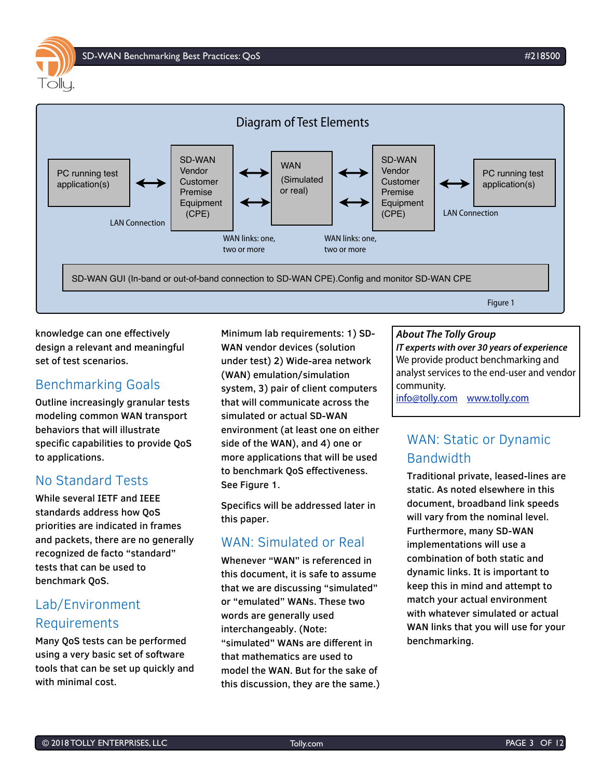

knowledge can one effectively design a relevant and meaningful set of test scenarios.

### <span id="page-2-0"></span>Benchmarking Goals

Outline increasingly granular tests modeling common WAN transport behaviors that will illustrate specific capabilities to provide QoS to applications.

### <span id="page-2-1"></span>No Standard Tests

While several IETF and IEEE standards address how QoS priorities are indicated in frames and packets, there are no generally recognized de facto "standard" tests that can be used to benchmark QoS.

# <span id="page-2-2"></span>Lab/Environment Requirements

Many QoS tests can be performed using a very basic set of software tools that can be set up quickly and with minimal cost.

Minimum lab requirements: 1) SD-WAN vendor devices (solution under test) 2) Wide-area network (WAN) emulation/simulation system, 3) pair of client computers that will communicate across the simulated or actual SD-WAN environment (at least one on either side of the WAN), and 4) one or more applications that will be used to benchmark QoS effectiveness. See Figure 1.

Specifics will be addressed later in this paper.

## <span id="page-2-3"></span>WAN: Simulated or Real

Whenever "WAN" is referenced in this document, it is safe to assume that we are discussing "simulated" or "emulated" WANs. These two words are generally used interchangeably. (Note: "simulated" WANs are different in that mathematics are used to model the WAN. But for the sake of this discussion, they are the same.)

#### **About The Tolly Group**

**IT experts with over 30 years of experience** We provide product benchmarking and analyst services to the end-user and vendor community.

[info@tolly.com](mailto:info@tolly.com) [www.tolly.com](http://www.tolly.com)

# <span id="page-2-4"></span>WAN: Static or Dynamic Bandwidth

Traditional private, leased-lines are static. As noted elsewhere in this document, broadband link speeds will vary from the nominal level. Furthermore, many SD-WAN implementations will use a combination of both static and dynamic links. It is important to keep this in mind and attempt to match your actual environment with whatever simulated or actual WAN links that you will use for your benchmarking.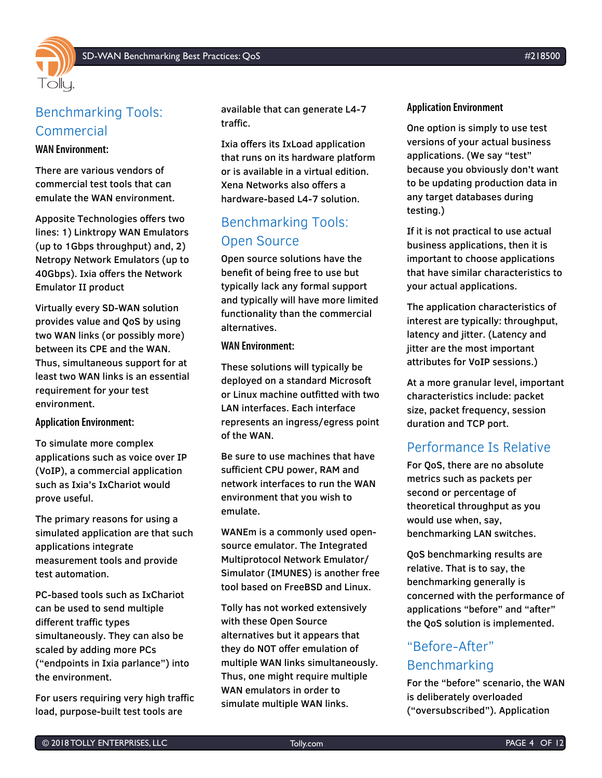

# <span id="page-3-0"></span>Benchmarking Tools: Commercial

#### **WAN Environment:**

There are various vendors of commercial test tools that can emulate the WAN environment.

Apposite Technologies offers two lines: 1) Linktropy WAN Emulators (up to 1Gbps throughput) and, 2) Netropy Network Emulators (up to 40Gbps). Ixia offers the Network Emulator II product

Virtually every SD-WAN solution provides value and QoS by using two WAN links (or possibly more) between its CPE and the WAN. Thus, simultaneous support for at least two WAN links is an essential requirement for your test environment.

#### **Application Environment:**

To simulate more complex applications such as voice over IP (VoIP), a commercial application such as Ixia's IxChariot would prove useful.

The primary reasons for using a simulated application are that such applications integrate measurement tools and provide test automation.

PC-based tools such as IxChariot can be used to send multiple different traffic types simultaneously. They can also be scaled by adding more PCs ("endpoints in Ixia parlance") into the environment.

For users requiring very high traffic load, purpose-built test tools are

available that can generate L4-7 traffic.

Ixia offers its IxLoad application that runs on its hardware platform or is available in a virtual edition. Xena Networks also offers a hardware-based L4-7 solution.

## <span id="page-3-1"></span>Benchmarking Tools: Open Source

Open source solutions have the benefit of being free to use but typically lack any formal support and typically will have more limited functionality than the commercial alternatives.

#### **WAN Environment:**

These solutions will typically be deployed on a standard Microsoft or Linux machine outfitted with two LAN interfaces. Each interface represents an ingress/egress point of the WAN.

Be sure to use machines that have sufficient CPU power, RAM and network interfaces to run the WAN environment that you wish to emulate.

WANEm is a commonly used opensource emulator. The Integrated Multiprotocol Network Emulator/ Simulator (IMUNES) is another free tool based on FreeBSD and Linux.

Tolly has not worked extensively with these Open Source alternatives but it appears that they do NOT offer emulation of multiple WAN links simultaneously. Thus, one might require multiple WAN emulators in order to simulate multiple WAN links.

#### **Application Environment**

One option is simply to use test versions of your actual business applications. (We say "test" because you obviously don't want to be updating production data in any target databases during testing.)

If it is not practical to use actual business applications, then it is important to choose applications that have similar characteristics to your actual applications.

The application characteristics of interest are typically: throughput, latency and jitter. (Latency and jitter are the most important attributes for VoIP sessions.)

At a more granular level, important characteristics include: packet size, packet frequency, session duration and TCP port.

### <span id="page-3-2"></span>Performance Is Relative

For QoS, there are no absolute metrics such as packets per second or percentage of theoretical throughput as you would use when, say, benchmarking LAN switches.

QoS benchmarking results are relative. That is to say, the benchmarking generally is concerned with the performance of applications "before" and "after" the QoS solution is implemented.

# <span id="page-3-3"></span>"Before-After" Benchmarking

For the "before" scenario, the WAN is deliberately overloaded ("oversubscribed"). Application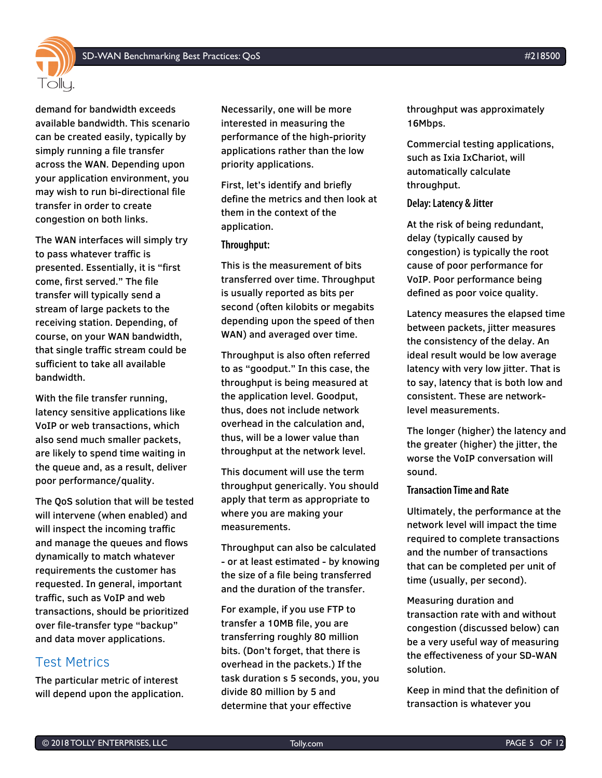

demand for bandwidth exceeds available bandwidth. This scenario can be created easily, typically by simply running a file transfer across the WAN. Depending upon your application environment, you may wish to run bi-directional file transfer in order to create congestion on both links.

The WAN interfaces will simply try to pass whatever traffic is presented. Essentially, it is "first come, first served." The file transfer will typically send a stream of large packets to the receiving station. Depending, of course, on your WAN bandwidth, that single traffic stream could be sufficient to take all available bandwidth.

With the file transfer running, latency sensitive applications like VoIP or web transactions, which also send much smaller packets, are likely to spend time waiting in the queue and, as a result, deliver poor performance/quality.

The QoS solution that will be tested will intervene (when enabled) and will inspect the incoming traffic and manage the queues and flows dynamically to match whatever requirements the customer has requested. In general, important traffic, such as VoIP and web transactions, should be prioritized over file-transfer type "backup" and data mover applications.

### <span id="page-4-0"></span>Test Metrics

The particular metric of interest will depend upon the application. Necessarily, one will be more interested in measuring the performance of the high-priority applications rather than the low priority applications.

First, let's identify and briefly define the metrics and then look at them in the context of the application.

#### **Throughput:**

This is the measurement of bits transferred over time. Throughput is usually reported as bits per second (often kilobits or megabits depending upon the speed of then WAN) and averaged over time.

Throughput is also often referred to as "goodput." In this case, the throughput is being measured at the application level. Goodput, thus, does not include network overhead in the calculation and, thus, will be a lower value than throughput at the network level.

This document will use the term throughput generically. You should apply that term as appropriate to where you are making your measurements.

Throughput can also be calculated - or at least estimated - by knowing the size of a file being transferred and the duration of the transfer.

For example, if you use FTP to transfer a 10MB file, you are transferring roughly 80 million bits. (Don't forget, that there is overhead in the packets.) If the task duration s 5 seconds, you, you divide 80 million by 5 and determine that your effective

throughput was approximately 16Mbps.

Commercial testing applications, such as Ixia IxChariot, will automatically calculate throughput.

#### **Delay: Latency & Jitter**

At the risk of being redundant, delay (typically caused by congestion) is typically the root cause of poor performance for VoIP. Poor performance being defined as poor voice quality.

Latency measures the elapsed time between packets, jitter measures the consistency of the delay. An ideal result would be low average latency with very low jitter. That is to say, latency that is both low and consistent. These are networklevel measurements.

The longer (higher) the latency and the greater (higher) the jitter, the worse the VoIP conversation will sound.

#### **Transaction Time and Rate**

Ultimately, the performance at the network level will impact the time required to complete transactions and the number of transactions that can be completed per unit of time (usually, per second).

Measuring duration and transaction rate with and without congestion (discussed below) can be a very useful way of measuring the effectiveness of your SD-WAN solution.

Keep in mind that the definition of transaction is whatever you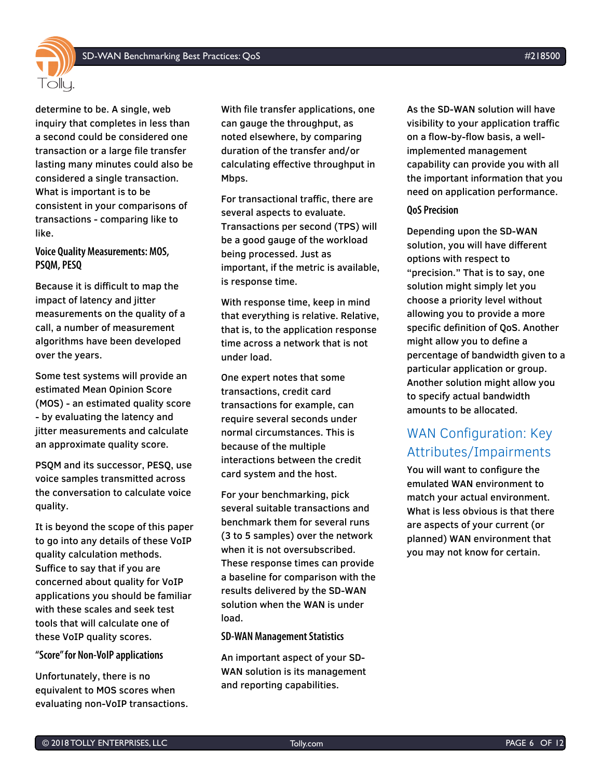

determine to be. A single, web inquiry that completes in less than a second could be considered one transaction or a large file transfer lasting many minutes could also be considered a single transaction. What is important is to be consistent in your comparisons of transactions - comparing like to like.

#### **Voice Quality Measurements: MOS, PSQM, PESQ**

Because it is difficult to map the impact of latency and jitter measurements on the quality of a call, a number of measurement algorithms have been developed over the years.

Some test systems will provide an estimated Mean Opinion Score (MOS) - an estimated quality score - by evaluating the latency and jitter measurements and calculate an approximate quality score.

PSQM and its successor, PESQ, use voice samples transmitted across the conversation to calculate voice quality.

It is beyond the scope of this paper to go into any details of these VoIP quality calculation methods. Suffice to say that if you are concerned about quality for VoIP applications you should be familiar with these scales and seek test tools that will calculate one of these VoIP quality scores.

#### **"Score" for Non-VoIP applications**

Unfortunately, there is no equivalent to MOS scores when evaluating non-VoIP transactions. With file transfer applications, one can gauge the throughput, as noted elsewhere, by comparing duration of the transfer and/or calculating effective throughput in Mbps.

For transactional traffic, there are several aspects to evaluate. Transactions per second (TPS) will be a good gauge of the workload being processed. Just as important, if the metric is available, is response time.

With response time, keep in mind that everything is relative. Relative, that is, to the application response time across a network that is not under load.

One expert notes that some transactions, credit card transactions for example, can require several seconds under normal circumstances. This is because of the multiple interactions between the credit card system and the host.

For your benchmarking, pick several suitable transactions and benchmark them for several runs (3 to 5 samples) over the network when it is not oversubscribed. These response times can provide a baseline for comparison with the results delivered by the SD-WAN solution when the WAN is under load.

#### **SD-WAN Management Statistics**

An important aspect of your SD-WAN solution is its management and reporting capabilities.

As the SD-WAN solution will have visibility to your application traffic on a flow-by-flow basis, a wellimplemented management capability can provide you with all the important information that you need on application performance.

#### **QoS Precision**

Depending upon the SD-WAN solution, you will have different options with respect to "precision." That is to say, one solution might simply let you choose a priority level without allowing you to provide a more specific definition of QoS. Another might allow you to define a percentage of bandwidth given to a particular application or group. Another solution might allow you to specify actual bandwidth amounts to be allocated.

# <span id="page-5-0"></span>WAN Configuration: Key Attributes/Impairments

You will want to configure the emulated WAN environment to match your actual environment. What is less obvious is that there are aspects of your current (or planned) WAN environment that you may not know for certain.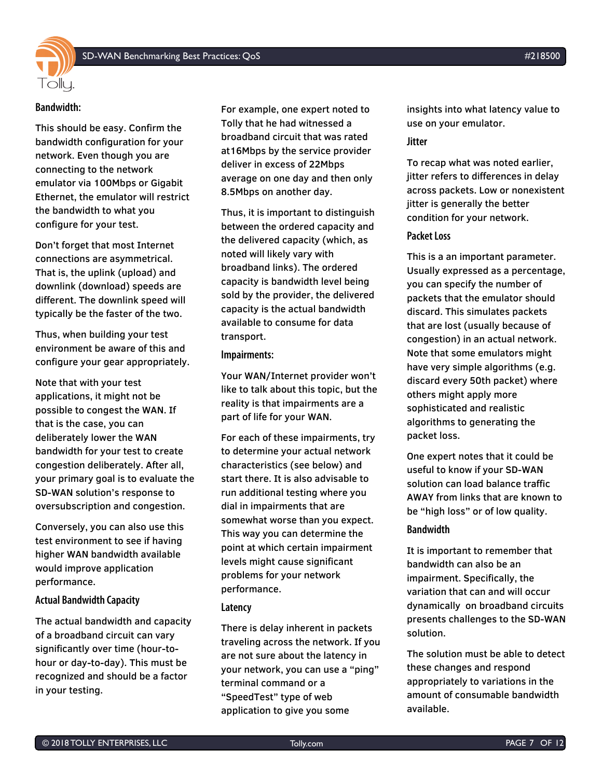

#### **Bandwidth:**

This should be easy. Confirm the bandwidth configuration for your network. Even though you are connecting to the network emulator via 100Mbps or Gigabit Ethernet, the emulator will restrict the bandwidth to what you configure for your test.

Don't forget that most Internet connections are asymmetrical. That is, the uplink (upload) and downlink (download) speeds are different. The downlink speed will typically be the faster of the two.

Thus, when building your test environment be aware of this and configure your gear appropriately.

Note that with your test applications, it might not be possible to congest the WAN. If that is the case, you can deliberately lower the WAN bandwidth for your test to create congestion deliberately. After all, your primary goal is to evaluate the SD-WAN solution's response to oversubscription and congestion.

Conversely, you can also use this test environment to see if having higher WAN bandwidth available would improve application performance.

#### **Actual Bandwidth Capacity**

The actual bandwidth and capacity of a broadband circuit can vary significantly over time (hour-tohour or day-to-day). This must be recognized and should be a factor in your testing.

For example, one expert noted to Tolly that he had witnessed a broadband circuit that was rated at16Mbps by the service provider deliver in excess of 22Mbps average on one day and then only 8.5Mbps on another day.

Thus, it is important to distinguish between the ordered capacity and the delivered capacity (which, as noted will likely vary with broadband links). The ordered capacity is bandwidth level being sold by the provider, the delivered capacity is the actual bandwidth available to consume for data transport.

#### **Impairments:**

Your WAN/Internet provider won't like to talk about this topic, but the reality is that impairments are a part of life for your WAN.

For each of these impairments, try to determine your actual network characteristics (see below) and start there. It is also advisable to run additional testing where you dial in impairments that are somewhat worse than you expect. This way you can determine the point at which certain impairment levels might cause significant problems for your network performance.

#### **Latency**

There is delay inherent in packets traveling across the network. If you are not sure about the latency in your network, you can use a "ping" terminal command or a "SpeedTest" type of web application to give you some

insights into what latency value to use on your emulator.

#### **Jitter**

To recap what was noted earlier, jitter refers to differences in delay across packets. Low or nonexistent jitter is generally the better condition for your network.

#### **Packet Loss**

This is a an important parameter. Usually expressed as a percentage, you can specify the number of packets that the emulator should discard. This simulates packets that are lost (usually because of congestion) in an actual network. Note that some emulators might have very simple algorithms (e.g. discard every 50th packet) where others might apply more sophisticated and realistic algorithms to generating the packet loss.

One expert notes that it could be useful to know if your SD-WAN solution can load balance traffic AWAY from links that are known to be "high loss" or of low quality.

#### **Bandwidth**

It is important to remember that bandwidth can also be an impairment. Specifically, the variation that can and will occur dynamically on broadband circuits presents challenges to the SD-WAN solution.

The solution must be able to detect these changes and respond appropriately to variations in the amount of consumable bandwidth available.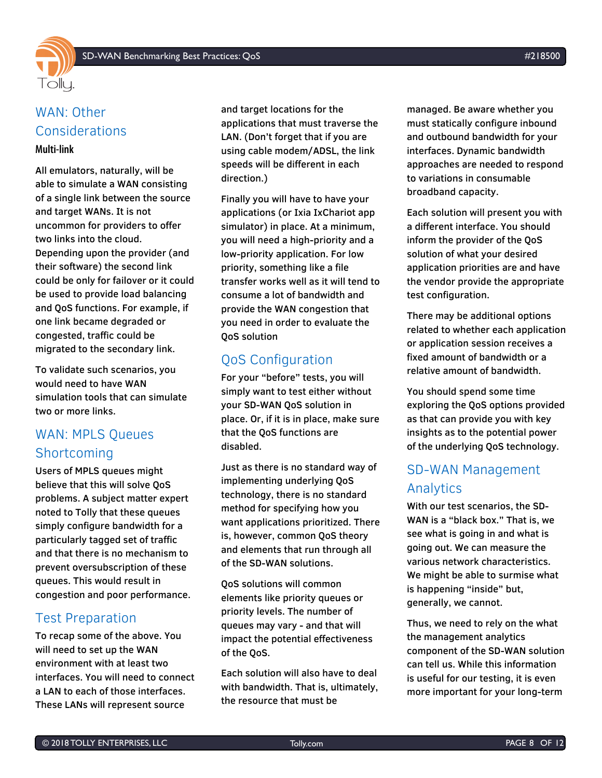

# <span id="page-7-0"></span>WAN: Other Considerations

#### **Multi-link**

All emulators, naturally, will be able to simulate a WAN consisting of a single link between the source and target WANs. It is not uncommon for providers to offer two links into the cloud. Depending upon the provider (and their software) the second link could be only for failover or it could be used to provide load balancing and QoS functions. For example, if one link became degraded or congested, traffic could be migrated to the secondary link.

To validate such scenarios, you would need to have WAN simulation tools that can simulate two or more links.

# <span id="page-7-1"></span>WAN: MPLS Queues Shortcoming

Users of MPLS queues might believe that this will solve QoS problems. A subject matter expert noted to Tolly that these queues simply configure bandwidth for a particularly tagged set of traffic and that there is no mechanism to prevent oversubscription of these queues. This would result in congestion and poor performance.

### <span id="page-7-2"></span>Test Preparation

To recap some of the above. You will need to set up the WAN environment with at least two interfaces. You will need to connect a LAN to each of those interfaces. These LANs will represent source

and target locations for the applications that must traverse the LAN. (Don't forget that if you are using cable modem/ADSL, the link speeds will be different in each direction.)

Finally you will have to have your applications (or Ixia IxChariot app simulator) in place. At a minimum, you will need a high-priority and a low-priority application. For low priority, something like a file transfer works well as it will tend to consume a lot of bandwidth and provide the WAN congestion that you need in order to evaluate the QoS solution

## <span id="page-7-3"></span>QoS Configuration

For your "before" tests, you will simply want to test either without your SD-WAN QoS solution in place. Or, if it is in place, make sure that the QoS functions are disabled.

Just as there is no standard way of implementing underlying QoS technology, there is no standard method for specifying how you want applications prioritized. There is, however, common QoS theory and elements that run through all of the SD-WAN solutions.

QoS solutions will common elements like priority queues or priority levels. The number of queues may vary - and that will impact the potential effectiveness of the QoS.

Each solution will also have to deal with bandwidth. That is, ultimately, the resource that must be

managed. Be aware whether you must statically configure inbound and outbound bandwidth for your interfaces. Dynamic bandwidth approaches are needed to respond to variations in consumable broadband capacity.

Each solution will present you with a different interface. You should inform the provider of the QoS solution of what your desired application priorities are and have the vendor provide the appropriate test configuration.

There may be additional options related to whether each application or application session receives a fixed amount of bandwidth or a relative amount of bandwidth.

You should spend some time exploring the QoS options provided as that can provide you with key insights as to the potential power of the underlying QoS technology.

# <span id="page-7-4"></span>SD-WAN Management Analytics

With our test scenarios, the SD-WAN is a "black box." That is, we see what is going in and what is going out. We can measure the various network characteristics. We might be able to surmise what is happening "inside" but, generally, we cannot.

Thus, we need to rely on the what the management analytics component of the SD-WAN solution can tell us. While this information is useful for our testing, it is even more important for your long-term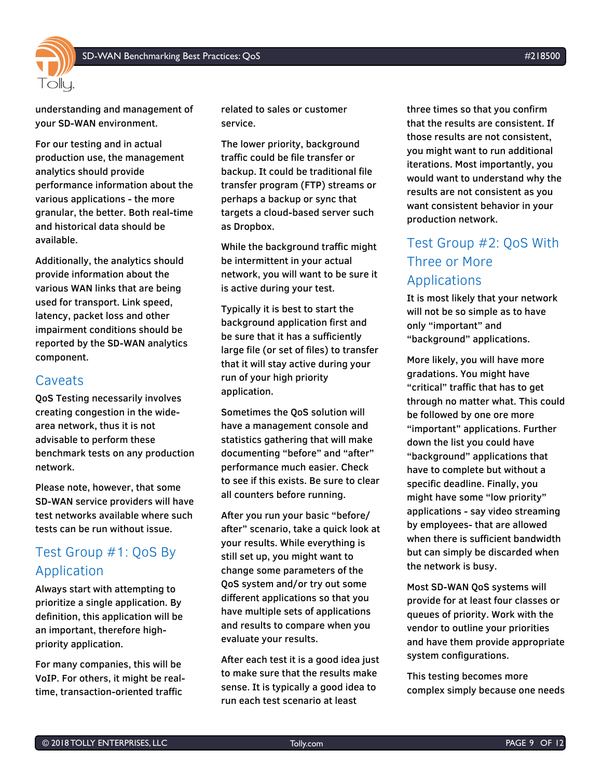

understanding and management of your SD-WAN environment.

For our testing and in actual production use, the management analytics should provide performance information about the various applications - the more granular, the better. Both real-time and historical data should be available.

Additionally, the analytics should provide information about the various WAN links that are being used for transport. Link speed, latency, packet loss and other impairment conditions should be reported by the SD-WAN analytics component.

### <span id="page-8-0"></span>Caveats

QoS Testing necessarily involves creating congestion in the widearea network, thus it is not advisable to perform these benchmark tests on any production network.

Please note, however, that some SD-WAN service providers will have test networks available where such tests can be run without issue.

## <span id="page-8-1"></span>Test Group #1: QoS By Application

Always start with attempting to prioritize a single application. By definition, this application will be an important, therefore highpriority application.

For many companies, this will be VoIP. For others, it might be realtime, transaction-oriented traffic

related to sales or customer service.

The lower priority, background traffic could be file transfer or backup. It could be traditional file transfer program (FTP) streams or perhaps a backup or sync that targets a cloud-based server such as Dropbox.

While the background traffic might be intermittent in your actual network, you will want to be sure it is active during your test.

Typically it is best to start the background application first and be sure that it has a sufficiently large file (or set of files) to transfer that it will stay active during your run of your high priority application.

Sometimes the QoS solution will have a management console and statistics gathering that will make documenting "before" and "after" performance much easier. Check to see if this exists. Be sure to clear all counters before running.

After you run your basic "before/ after" scenario, take a quick look at your results. While everything is still set up, you might want to change some parameters of the QoS system and/or try out some different applications so that you have multiple sets of applications and results to compare when you evaluate your results.

After each test it is a good idea just to make sure that the results make sense. It is typically a good idea to run each test scenario at least

three times so that you confirm that the results are consistent. If those results are not consistent, you might want to run additional iterations. Most importantly, you would want to understand why the results are not consistent as you want consistent behavior in your production network.

# <span id="page-8-2"></span>Test Group #2: QoS With Three or More Applications

It is most likely that your network will not be so simple as to have only "important" and "background" applications.

More likely, you will have more gradations. You might have "critical" traffic that has to get through no matter what. This could be followed by one ore more "important" applications. Further down the list you could have "background" applications that have to complete but without a specific deadline. Finally, you might have some "low priority" applications - say video streaming by employees- that are allowed when there is sufficient bandwidth but can simply be discarded when the network is busy.

Most SD-WAN QoS systems will provide for at least four classes or queues of priority. Work with the vendor to outline your priorities and have them provide appropriate system configurations.

This testing becomes more complex simply because one needs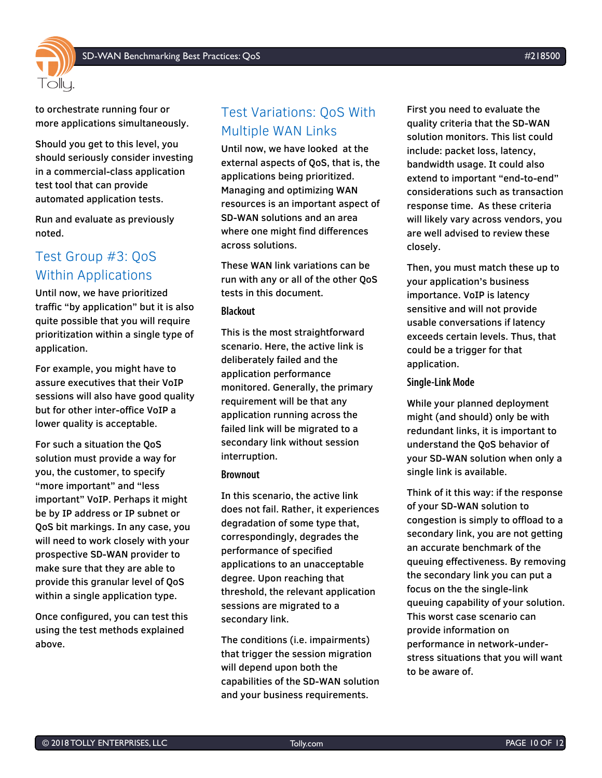

to orchestrate running four or more applications simultaneously.

Should you get to this level, you should seriously consider investing in a commercial-class application test tool that can provide automated application tests.

Run and evaluate as previously noted.

### <span id="page-9-0"></span>Test Group #3: QoS Within Applications

Until now, we have prioritized traffic "by application" but it is also quite possible that you will require prioritization within a single type of application.

For example, you might have to assure executives that their VoIP sessions will also have good quality but for other inter-office VoIP a lower quality is acceptable.

For such a situation the QoS solution must provide a way for you, the customer, to specify "more important" and "less important" VoIP. Perhaps it might be by IP address or IP subnet or QoS bit markings. In any case, you will need to work closely with your prospective SD-WAN provider to make sure that they are able to provide this granular level of QoS within a single application type.

Once configured, you can test this using the test methods explained above.

## <span id="page-9-1"></span>Test Variations: QoS With Multiple WAN Links

Until now, we have looked at the external aspects of QoS, that is, the applications being prioritized. Managing and optimizing WAN resources is an important aspect of SD-WAN solutions and an area where one might find differences across solutions.

These WAN link variations can be run with any or all of the other QoS tests in this document.

#### **Blackout**

This is the most straightforward scenario. Here, the active link is deliberately failed and the application performance monitored. Generally, the primary requirement will be that any application running across the failed link will be migrated to a secondary link without session interruption.

#### **Brownout**

In this scenario, the active link does not fail. Rather, it experiences degradation of some type that, correspondingly, degrades the performance of specified applications to an unacceptable degree. Upon reaching that threshold, the relevant application sessions are migrated to a secondary link.

The conditions (i.e. impairments) that trigger the session migration will depend upon both the capabilities of the SD-WAN solution and your business requirements.

First you need to evaluate the quality criteria that the SD-WAN solution monitors. This list could include: packet loss, latency, bandwidth usage. It could also extend to important "end-to-end" considerations such as transaction response time. As these criteria will likely vary across vendors, you are well advised to review these closely.

Then, you must match these up to your application's business importance. VoIP is latency sensitive and will not provide usable conversations if latency exceeds certain levels. Thus, that could be a trigger for that application.

#### **Single-Link Mode**

While your planned deployment might (and should) only be with redundant links, it is important to understand the QoS behavior of your SD-WAN solution when only a single link is available.

Think of it this way: if the response of your SD-WAN solution to congestion is simply to offload to a secondary link, you are not getting an accurate benchmark of the queuing effectiveness. By removing the secondary link you can put a focus on the the single-link queuing capability of your solution. This worst case scenario can provide information on performance in network-understress situations that you will want to be aware of.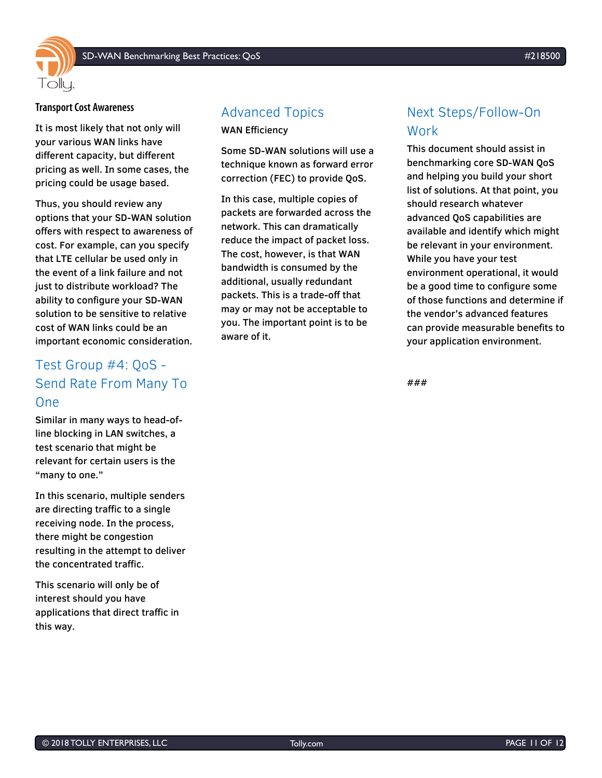

#### **Transport Cost Awareness**

It is most likely that not only will your various WAN links have different capacity, but different pricing as well. In some cases, the pricing could be usage based.

Thus, you should review any options that your SD-WAN solution offers with respect to awareness of cost. For example, can you specify that LTE cellular be used only in the event of a link failure and not just to distribute workload? The ability to configure your SD-WAN solution to be sensitive to relative cost of WAN links could be an important economic consideration.

# <span id="page-10-0"></span>Test Group #4: QoS - Send Rate From Many To One

Similar in many ways to head-ofline blocking in LAN switches, a test scenario that might be relevant for certain users is the "many to one."

In this scenario, multiple senders are directing traffic to a single receiving node. In the process, there might be congestion resulting in the attempt to deliver the concentrated traffic.

This scenario will only be of interest should you have applications that direct traffic in this way.

### <span id="page-10-1"></span>Advanced Topics

WAN Efficiency

Some SD-WAN solutions will use a technique known as forward error correction (FEC) to provide QoS.

In this case, multiple copies of packets are forwarded across the network. This can dramatically reduce the impact of packet loss. The cost, however, is that WAN bandwidth is consumed by the additional, usually redundant packets. This is a trade-off that may or may not be acceptable to you. The important point is to be aware of it.

# <span id="page-10-2"></span>Next Steps/Follow-On Work

This document should assist in benchmarking core SD-WAN QoS and helping you build your short list of solutions. At that point, you should research whatever advanced QoS capabilities are available and identify which might be relevant in your environment. While you have your test environment operational, it would be a good time to configure some of those functions and determine if the vendor's advanced features can provide measurable benefits to your application environment.

###